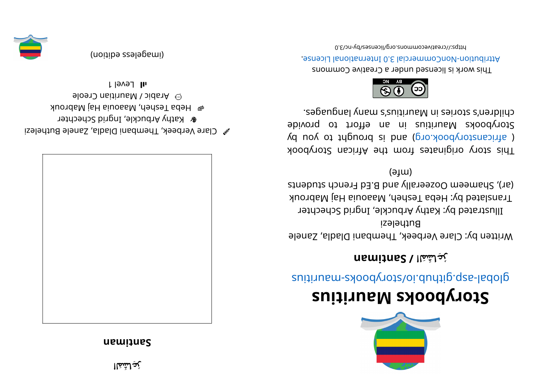## **na mi t naS**



- $\mathscr{C}$  Clare Verbeek, Thembani Dladla, Zanele Buthelezi
- & Kathy Arbuckle, Ingrid Schechter
- e Hepa Tesheh, Maaouia Haj Mabrouk
- eloen Creole
- l level 1



(imageless edition)



## **<sup>s</sup> ui ti r ua Mskoobyr otS**

suitius rate.gliquor syoodynotal abolisting and the suiting

## **رُعِاشَمَلا /naS t mi na**

Written by: Clare Verbeek, Thembani Dladla, Zanele Buthelezi Illustrated by: Kathy Arbuckle, Ingrid Schechter Translated by: Heba Tesheh, Maaouia Haj Mabrouk

struabuts danger all band are denoted and entries  $(16)$  $(\theta$ <sup>tm</sup>)

This story originates from the African Storybook  $\chi$ d uoy ot trigens is pue (gro.  $\lambda$ ood $\chi$ otzans it a la Storybooks Mauritius in an effort to provide children's stories in Mauritius's many languages.



This work is licensed under a Creative Commons esnecial 0.8 lainemmoCommercial 3.0 International License.

0. Elon-vdl esemmons. org/licenses/day-nc/3.0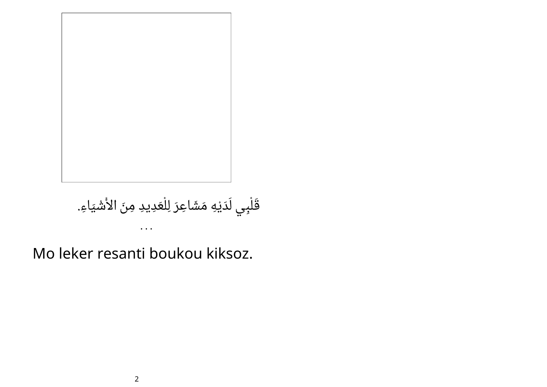

## قَلْبِي لَدَيْهِ مَشَاعِرَ لِلْعَدِيدِ مِنَ الأَشْيَاءِ. • • •

Mo leker resanti boukou kiksoz.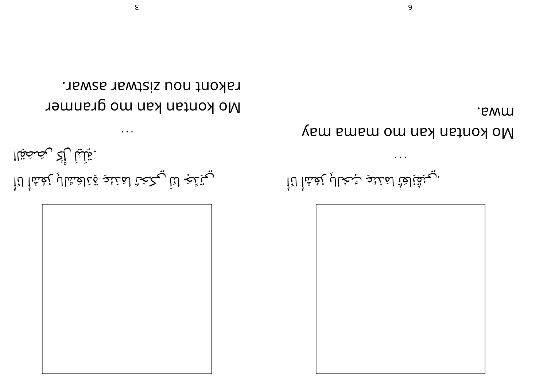

ل َ ليْ ك َ

. تِلْلِياْ رِأْكُ رِيْصَحَقِاا

امَدَنْعِ <sup>ب</sup> نِاعَتُ ُ .ي نِق ِ انَا ُش ْ ا ع ُ ُ لا <sup>ر</sup> :ح ب

Wo kontan kan mama may

. B W M

• • •

No kontan kan mo granmer rakont nou zistwar aswar.

• • •